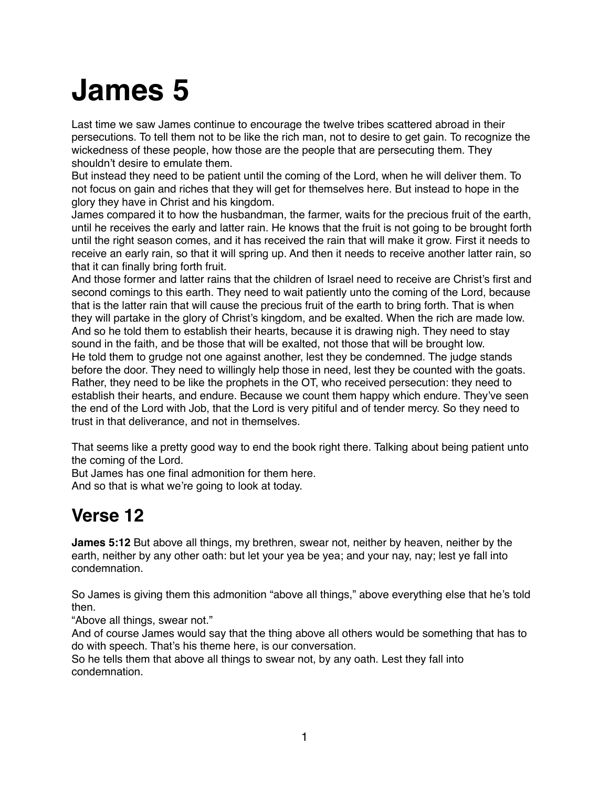# **James 5**

Last time we saw James continue to encourage the twelve tribes scattered abroad in their persecutions. To tell them not to be like the rich man, not to desire to get gain. To recognize the wickedness of these people, how those are the people that are persecuting them. They shouldn't desire to emulate them.

But instead they need to be patient until the coming of the Lord, when he will deliver them. To not focus on gain and riches that they will get for themselves here. But instead to hope in the glory they have in Christ and his kingdom.

James compared it to how the husbandman, the farmer, waits for the precious fruit of the earth, until he receives the early and latter rain. He knows that the fruit is not going to be brought forth until the right season comes, and it has received the rain that will make it grow. First it needs to receive an early rain, so that it will spring up. And then it needs to receive another latter rain, so that it can finally bring forth fruit.

And those former and latter rains that the children of Israel need to receive are Christ's first and second comings to this earth. They need to wait patiently unto the coming of the Lord, because that is the latter rain that will cause the precious fruit of the earth to bring forth. That is when they will partake in the glory of Christ's kingdom, and be exalted. When the rich are made low. And so he told them to establish their hearts, because it is drawing nigh. They need to stay sound in the faith, and be those that will be exalted, not those that will be brought low. He told them to grudge not one against another, lest they be condemned. The judge stands before the door. They need to willingly help those in need, lest they be counted with the goats. Rather, they need to be like the prophets in the OT, who received persecution: they need to establish their hearts, and endure. Because we count them happy which endure. They've seen the end of the Lord with Job, that the Lord is very pitiful and of tender mercy. So they need to trust in that deliverance, and not in themselves.

That seems like a pretty good way to end the book right there. Talking about being patient unto the coming of the Lord.

But James has one final admonition for them here. And so that is what we're going to look at today.

# **Verse 12**

**James 5:12** But above all things, my brethren, swear not, neither by heaven, neither by the earth, neither by any other oath: but let your yea be yea; and your nay, nay; lest ye fall into condemnation.

So James is giving them this admonition "above all things," above everything else that he's told then.

"Above all things, swear not."

And of course James would say that the thing above all others would be something that has to do with speech. That's his theme here, is our conversation.

So he tells them that above all things to swear not, by any oath. Lest they fall into condemnation.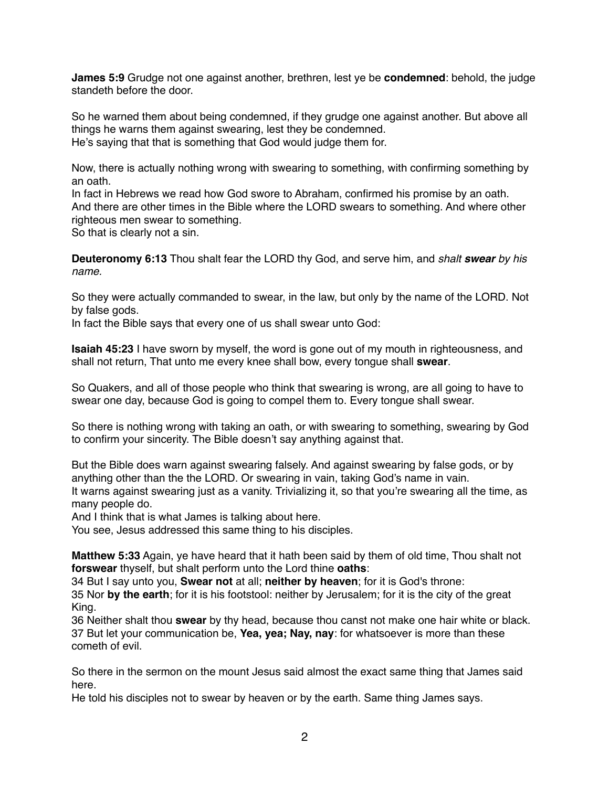**James 5:9** Grudge not one against another, brethren, lest ye be **condemned**: behold, the judge standeth before the door.

So he warned them about being condemned, if they grudge one against another. But above all things he warns them against swearing, lest they be condemned. He's saying that that is something that God would judge them for.

Now, there is actually nothing wrong with swearing to something, with confirming something by an oath.

In fact in Hebrews we read how God swore to Abraham, confirmed his promise by an oath. And there are other times in the Bible where the LORD swears to something. And where other righteous men swear to something.

So that is clearly not a sin.

**Deuteronomy 6:13** Thou shalt fear the LORD thy God, and serve him, and *shalt swear by his name.*

So they were actually commanded to swear, in the law, but only by the name of the LORD. Not by false gods.

In fact the Bible says that every one of us shall swear unto God:

**Isaiah 45:23** I have sworn by myself, the word is gone out of my mouth in righteousness, and shall not return, That unto me every knee shall bow, every tongue shall **swear**.

So Quakers, and all of those people who think that swearing is wrong, are all going to have to swear one day, because God is going to compel them to. Every tongue shall swear.

So there is nothing wrong with taking an oath, or with swearing to something, swearing by God to confirm your sincerity. The Bible doesn't say anything against that.

But the Bible does warn against swearing falsely. And against swearing by false gods, or by anything other than the the LORD. Or swearing in vain, taking God's name in vain. It warns against swearing just as a vanity. Trivializing it, so that you're swearing all the time, as many people do.

And I think that is what James is talking about here.

You see, Jesus addressed this same thing to his disciples.

**Matthew 5:33** Again, ye have heard that it hath been said by them of old time, Thou shalt not **forswear** thyself, but shalt perform unto the Lord thine **oaths**:

34 But I say unto you, **Swear not** at all; **neither by heaven**; for it is God's throne:

35 Nor **by the earth**; for it is his footstool: neither by Jerusalem; for it is the city of the great King.

36 Neither shalt thou **swear** by thy head, because thou canst not make one hair white or black. 37 But let your communication be, **Yea, yea; Nay, nay**: for whatsoever is more than these cometh of evil.

So there in the sermon on the mount Jesus said almost the exact same thing that James said here.

He told his disciples not to swear by heaven or by the earth. Same thing James says.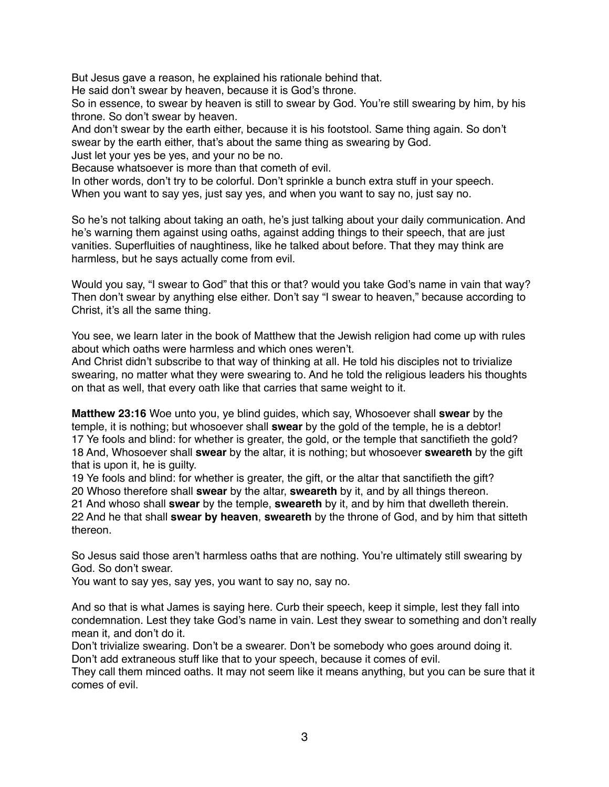But Jesus gave a reason, he explained his rationale behind that.

He said don't swear by heaven, because it is God's throne.

So in essence, to swear by heaven is still to swear by God. You're still swearing by him, by his throne. So don't swear by heaven.

And don't swear by the earth either, because it is his footstool. Same thing again. So don't swear by the earth either, that's about the same thing as swearing by God.

Just let your yes be yes, and your no be no.

Because whatsoever is more than that cometh of evil.

In other words, don't try to be colorful. Don't sprinkle a bunch extra stuff in your speech. When you want to say yes, just say yes, and when you want to say no, just say no.

So he's not talking about taking an oath, he's just talking about your daily communication. And he's warning them against using oaths, against adding things to their speech, that are just vanities. Superfluities of naughtiness, like he talked about before. That they may think are harmless, but he says actually come from evil.

Would you say, "I swear to God" that this or that? would you take God's name in vain that way? Then don't swear by anything else either. Don't say "I swear to heaven," because according to Christ, it's all the same thing.

You see, we learn later in the book of Matthew that the Jewish religion had come up with rules about which oaths were harmless and which ones weren't.

And Christ didn't subscribe to that way of thinking at all. He told his disciples not to trivialize swearing, no matter what they were swearing to. And he told the religious leaders his thoughts on that as well, that every oath like that carries that same weight to it.

**Matthew 23:16** Woe unto you, ye blind guides, which say, Whosoever shall **swear** by the temple, it is nothing; but whosoever shall **swear** by the gold of the temple, he is a debtor! 17 Ye fools and blind: for whether is greater, the gold, or the temple that sanctifieth the gold? 18 And, Whosoever shall **swear** by the altar, it is nothing; but whosoever **sweareth** by the gift that is upon it, he is guilty.

19 Ye fools and blind: for whether is greater, the gift, or the altar that sanctifieth the gift? 20 Whoso therefore shall **swear** by the altar, **sweareth** by it, and by all things thereon. 21 And whoso shall **swear** by the temple, **sweareth** by it, and by him that dwelleth therein. 22 And he that shall **swear by heaven**, **sweareth** by the throne of God, and by him that sitteth thereon.

So Jesus said those aren't harmless oaths that are nothing. You're ultimately still swearing by God. So don't swear.

You want to say yes, say yes, you want to say no, say no.

And so that is what James is saying here. Curb their speech, keep it simple, lest they fall into condemnation. Lest they take God's name in vain. Lest they swear to something and don't really mean it, and don't do it.

Don't trivialize swearing. Don't be a swearer. Don't be somebody who goes around doing it. Don't add extraneous stuff like that to your speech, because it comes of evil.

They call them minced oaths. It may not seem like it means anything, but you can be sure that it comes of evil.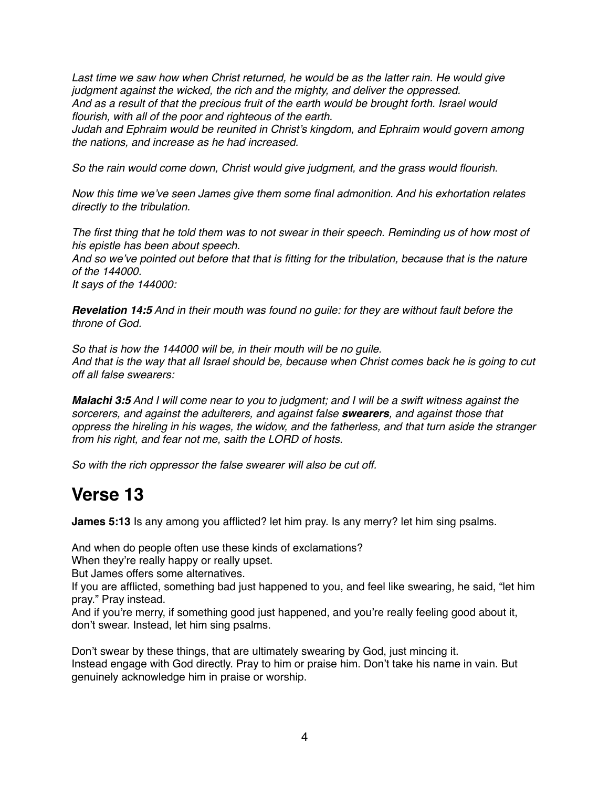Last time we saw how when Christ returned, he would be as the latter rain. He would give *judgment against the wicked, the rich and the mighty, and deliver the oppressed. And as a result of that the precious fruit of the earth would be brought forth. Israel would flourish, with all of the poor and righteous of the earth.*

*Judah and Ephraim would be reunited in Christ's kingdom, and Ephraim would govern among the nations, and increase as he had increased.*

*So the rain would come down, Christ would give judgment, and the grass would flourish.*

*Now this time we've seen James give them some final admonition. And his exhortation relates directly to the tribulation.*

*The first thing that he told them was to not swear in their speech. Reminding us of how most of his epistle has been about speech.*

*And so we've pointed out before that that is fitting for the tribulation, because that is the nature of the 144000.*

*It says of the 144000:*

*Revelation 14:5 And in their mouth was found no guile: for they are without fault before the throne of God.*

*So that is how the 144000 will be, in their mouth will be no guile. And that is the way that all Israel should be, because when Christ comes back he is going to cut off all false swearers:*

*Malachi 3:5 And I will come near to you to judgment; and I will be a swift witness against the sorcerers, and against the adulterers, and against false swearers, and against those that oppress the hireling in his wages, the widow, and the fatherless, and that turn aside the stranger from his right, and fear not me, saith the LORD of hosts.*

*So with the rich oppressor the false swearer will also be cut off.*

#### **Verse 13**

**James 5:13** Is any among you afflicted? let him pray. Is any merry? let him sing psalms.

And when do people often use these kinds of exclamations?

When they're really happy or really upset.

But James offers some alternatives.

If you are afflicted, something bad just happened to you, and feel like swearing, he said, "let him pray." Pray instead.

And if you're merry, if something good just happened, and you're really feeling good about it, don't swear. Instead, let him sing psalms.

Don't swear by these things, that are ultimately swearing by God, just mincing it. Instead engage with God directly. Pray to him or praise him. Don't take his name in vain. But genuinely acknowledge him in praise or worship.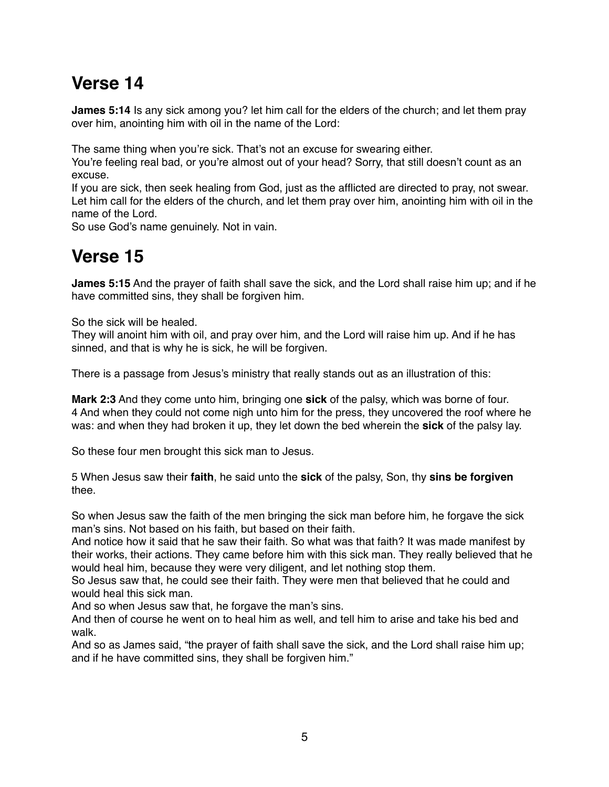## **Verse 14**

**James 5:14** Is any sick among you? let him call for the elders of the church; and let them pray over him, anointing him with oil in the name of the Lord:

The same thing when you're sick. That's not an excuse for swearing either.

You're feeling real bad, or you're almost out of your head? Sorry, that still doesn't count as an excuse.

If you are sick, then seek healing from God, just as the afflicted are directed to pray, not swear. Let him call for the elders of the church, and let them pray over him, anointing him with oil in the name of the Lord.

So use God's name genuinely. Not in vain.

#### **Verse 15**

**James 5:15** And the prayer of faith shall save the sick, and the Lord shall raise him up; and if he have committed sins, they shall be forgiven him.

So the sick will be healed.

They will anoint him with oil, and pray over him, and the Lord will raise him up. And if he has sinned, and that is why he is sick, he will be forgiven.

There is a passage from Jesus's ministry that really stands out as an illustration of this:

**Mark 2:3** And they come unto him, bringing one **sick** of the palsy, which was borne of four. 4 And when they could not come nigh unto him for the press, they uncovered the roof where he was: and when they had broken it up, they let down the bed wherein the **sick** of the palsy lay.

So these four men brought this sick man to Jesus.

5 When Jesus saw their **faith**, he said unto the **sick** of the palsy, Son, thy **sins be forgiven** thee.

So when Jesus saw the faith of the men bringing the sick man before him, he forgave the sick man's sins. Not based on his faith, but based on their faith.

And notice how it said that he saw their faith. So what was that faith? It was made manifest by their works, their actions. They came before him with this sick man. They really believed that he would heal him, because they were very diligent, and let nothing stop them.

So Jesus saw that, he could see their faith. They were men that believed that he could and would heal this sick man.

And so when Jesus saw that, he forgave the man's sins.

And then of course he went on to heal him as well, and tell him to arise and take his bed and walk.

And so as James said, "the prayer of faith shall save the sick, and the Lord shall raise him up; and if he have committed sins, they shall be forgiven him."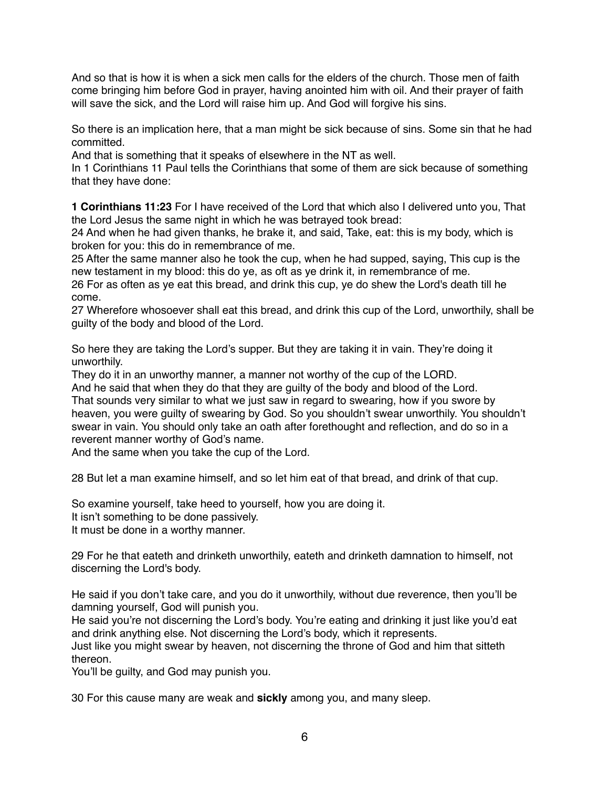And so that is how it is when a sick men calls for the elders of the church. Those men of faith come bringing him before God in prayer, having anointed him with oil. And their prayer of faith will save the sick, and the Lord will raise him up. And God will forgive his sins.

So there is an implication here, that a man might be sick because of sins. Some sin that he had committed.

And that is something that it speaks of elsewhere in the NT as well.

In 1 Corinthians 11 Paul tells the Corinthians that some of them are sick because of something that they have done:

**1 Corinthians 11:23** For I have received of the Lord that which also I delivered unto you, That the Lord Jesus the same night in which he was betrayed took bread:

24 And when he had given thanks, he brake it, and said, Take, eat: this is my body, which is broken for you: this do in remembrance of me.

25 After the same manner also he took the cup, when he had supped, saying, This cup is the new testament in my blood: this do ye, as oft as ye drink it, in remembrance of me.

26 For as often as ye eat this bread, and drink this cup, ye do shew the Lord's death till he come.

27 Wherefore whosoever shall eat this bread, and drink this cup of the Lord, unworthily, shall be guilty of the body and blood of the Lord.

So here they are taking the Lord's supper. But they are taking it in vain. They're doing it unworthily.

They do it in an unworthy manner, a manner not worthy of the cup of the LORD.

And he said that when they do that they are guilty of the body and blood of the Lord. That sounds very similar to what we just saw in regard to swearing, how if you swore by heaven, you were guilty of swearing by God. So you shouldn't swear unworthily. You shouldn't swear in vain. You should only take an oath after forethought and reflection, and do so in a reverent manner worthy of God's name.

And the same when you take the cup of the Lord.

28 But let a man examine himself, and so let him eat of that bread, and drink of that cup.

So examine yourself, take heed to yourself, how you are doing it.

It isn't something to be done passively.

It must be done in a worthy manner.

29 For he that eateth and drinketh unworthily, eateth and drinketh damnation to himself, not discerning the Lord's body.

He said if you don't take care, and you do it unworthily, without due reverence, then you'll be damning yourself, God will punish you.

He said you're not discerning the Lord's body. You're eating and drinking it just like you'd eat and drink anything else. Not discerning the Lord's body, which it represents.

Just like you might swear by heaven, not discerning the throne of God and him that sitteth thereon.

You'll be guilty, and God may punish you.

30 For this cause many are weak and **sickly** among you, and many sleep.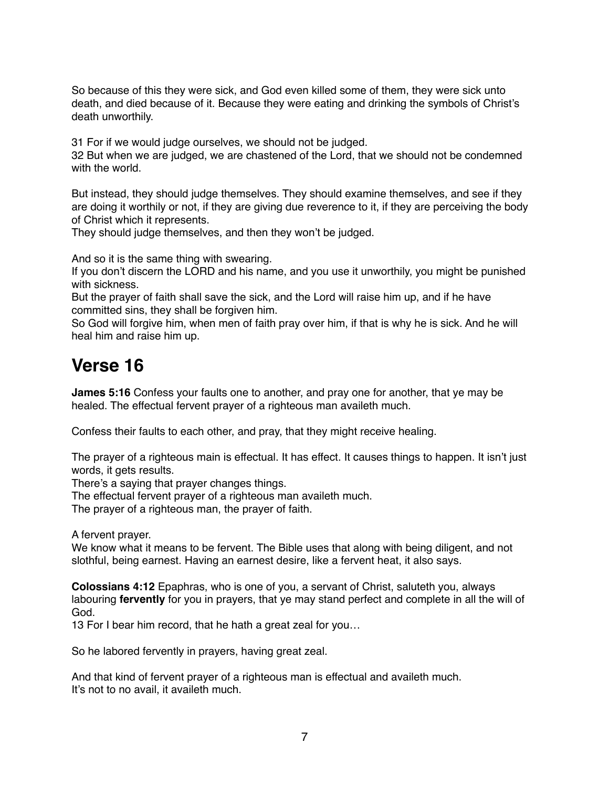So because of this they were sick, and God even killed some of them, they were sick unto death, and died because of it. Because they were eating and drinking the symbols of Christ's death unworthily.

31 For if we would judge ourselves, we should not be judged.

32 But when we are judged, we are chastened of the Lord, that we should not be condemned with the world.

But instead, they should judge themselves. They should examine themselves, and see if they are doing it worthily or not, if they are giving due reverence to it, if they are perceiving the body of Christ which it represents.

They should judge themselves, and then they won't be judged.

And so it is the same thing with swearing.

If you don't discern the LORD and his name, and you use it unworthily, you might be punished with sickness.

But the prayer of faith shall save the sick, and the Lord will raise him up, and if he have committed sins, they shall be forgiven him.

So God will forgive him, when men of faith pray over him, if that is why he is sick. And he will heal him and raise him up.

## **Verse 16**

**James 5:16** Confess your faults one to another, and pray one for another, that ye may be healed. The effectual fervent prayer of a righteous man availeth much.

Confess their faults to each other, and pray, that they might receive healing.

The prayer of a righteous main is effectual. It has effect. It causes things to happen. It isn't just words, it gets results.

There's a saying that prayer changes things.

The effectual fervent prayer of a righteous man availeth much.

The prayer of a righteous man, the prayer of faith.

A fervent prayer.

We know what it means to be fervent. The Bible uses that along with being diligent, and not slothful, being earnest. Having an earnest desire, like a fervent heat, it also says.

**Colossians 4:12** Epaphras, who is one of you, a servant of Christ, saluteth you, always labouring **fervently** for you in prayers, that ye may stand perfect and complete in all the will of God.

13 For I bear him record, that he hath a great zeal for you…

So he labored fervently in prayers, having great zeal.

And that kind of fervent prayer of a righteous man is effectual and availeth much. It's not to no avail, it availeth much.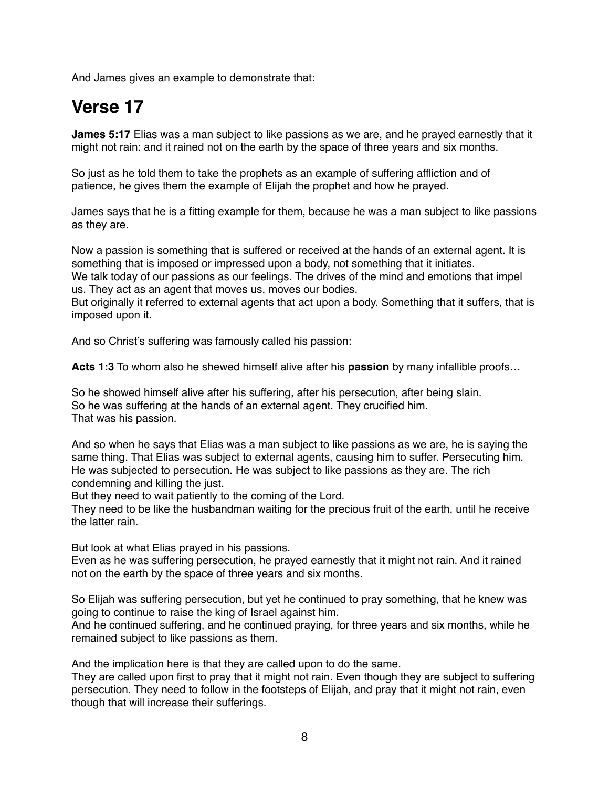And James gives an example to demonstrate that:

## **Verse 17**

**James 5:17** Elias was a man subject to like passions as we are, and he prayed earnestly that it might not rain: and it rained not on the earth by the space of three years and six months.

So just as he told them to take the prophets as an example of suffering affliction and of patience, he gives them the example of Elijah the prophet and how he prayed.

James says that he is a fitting example for them, because he was a man subject to like passions as they are.

Now a passion is something that is suffered or received at the hands of an external agent. It is something that is imposed or impressed upon a body, not something that it initiates.

We talk today of our passions as our feelings. The drives of the mind and emotions that impel us. They act as an agent that moves us, moves our bodies.

But originally it referred to external agents that act upon a body. Something that it suffers, that is imposed upon it.

And so Christ's suffering was famously called his passion:

**Acts 1:3** To whom also he shewed himself alive after his **passion** by many infallible proofs…

So he showed himself alive after his suffering, after his persecution, after being slain. So he was suffering at the hands of an external agent. They crucified him. That was his passion.

And so when he says that Elias was a man subject to like passions as we are, he is saying the same thing. That Elias was subject to external agents, causing him to suffer. Persecuting him. He was subjected to persecution. He was subject to like passions as they are. The rich condemning and killing the just.

But they need to wait patiently to the coming of the Lord.

They need to be like the husbandman waiting for the precious fruit of the earth, until he receive the latter rain.

But look at what Elias prayed in his passions.

Even as he was suffering persecution, he prayed earnestly that it might not rain. And it rained not on the earth by the space of three years and six months.

So Elijah was suffering persecution, but yet he continued to pray something, that he knew was going to continue to raise the king of Israel against him.

And he continued suffering, and he continued praying, for three years and six months, while he remained subject to like passions as them.

And the implication here is that they are called upon to do the same.

They are called upon first to pray that it might not rain. Even though they are subject to suffering persecution. They need to follow in the footsteps of Elijah, and pray that it might not rain, even though that will increase their sufferings.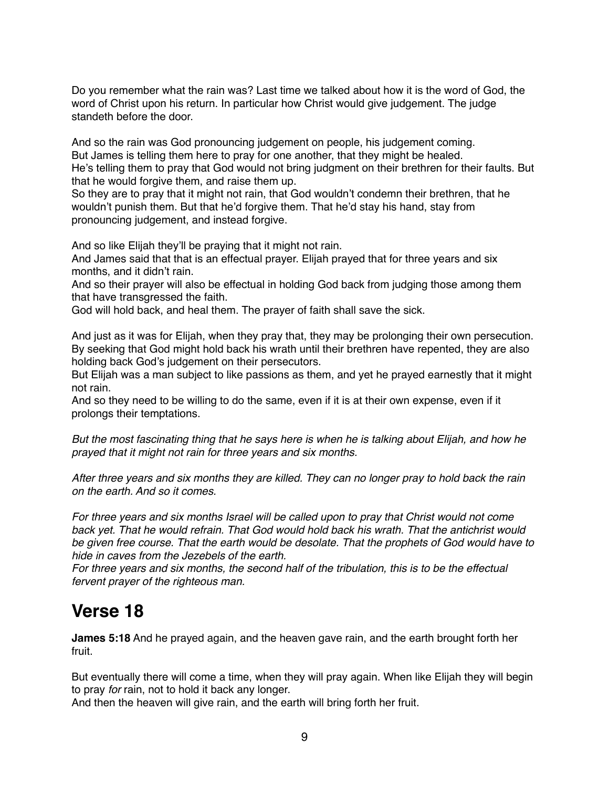Do you remember what the rain was? Last time we talked about how it is the word of God, the word of Christ upon his return. In particular how Christ would give judgement. The judge standeth before the door.

And so the rain was God pronouncing judgement on people, his judgement coming. But James is telling them here to pray for one another, that they might be healed. He's telling them to pray that God would not bring judgment on their brethren for their faults. But that he would forgive them, and raise them up.

So they are to pray that it might not rain, that God wouldn't condemn their brethren, that he wouldn't punish them. But that he'd forgive them. That he'd stay his hand, stay from pronouncing judgement, and instead forgive.

And so like Elijah they'll be praying that it might not rain.

And James said that that is an effectual prayer. Elijah prayed that for three years and six months, and it didn't rain.

And so their prayer will also be effectual in holding God back from judging those among them that have transgressed the faith.

God will hold back, and heal them. The prayer of faith shall save the sick.

And just as it was for Elijah, when they pray that, they may be prolonging their own persecution. By seeking that God might hold back his wrath until their brethren have repented, they are also holding back God's judgement on their persecutors.

But Elijah was a man subject to like passions as them, and yet he prayed earnestly that it might not rain.

And so they need to be willing to do the same, even if it is at their own expense, even if it prolongs their temptations.

*But the most fascinating thing that he says here is when he is talking about Elijah, and how he prayed that it might not rain for three years and six months.*

*After three years and six months they are killed. They can no longer pray to hold back the rain on the earth. And so it comes.*

*For three years and six months Israel will be called upon to pray that Christ would not come back yet. That he would refrain. That God would hold back his wrath. That the antichrist would be given free course. That the earth would be desolate. That the prophets of God would have to hide in caves from the Jezebels of the earth.*

*For three years and six months, the second half of the tribulation, this is to be the effectual fervent prayer of the righteous man.*

#### **Verse 18**

**James 5:18** And he prayed again, and the heaven gave rain, and the earth brought forth her fruit.

But eventually there will come a time, when they will pray again. When like Elijah they will begin to pray *for* rain, not to hold it back any longer.

And then the heaven will give rain, and the earth will bring forth her fruit.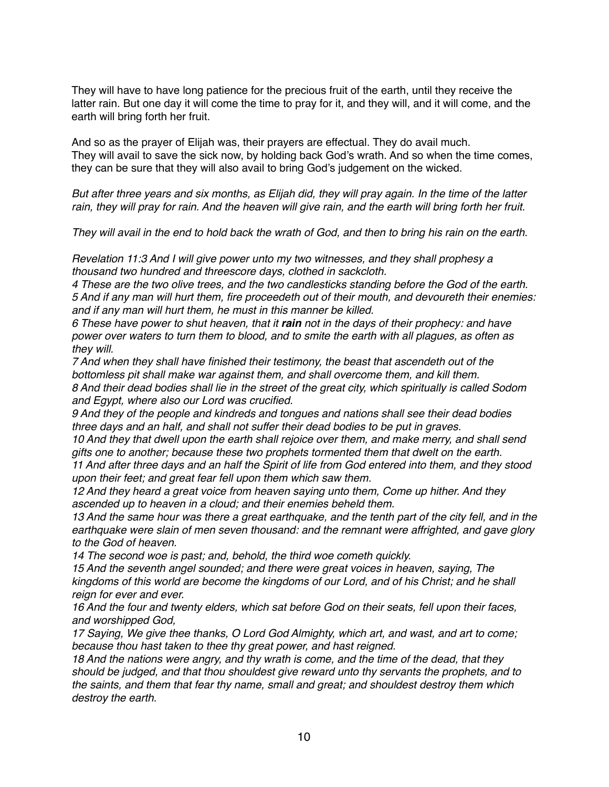They will have to have long patience for the precious fruit of the earth, until they receive the latter rain. But one day it will come the time to pray for it, and they will, and it will come, and the earth will bring forth her fruit.

And so as the prayer of Elijah was, their prayers are effectual. They do avail much. They will avail to save the sick now, by holding back God's wrath. And so when the time comes, they can be sure that they will also avail to bring God's judgement on the wicked.

*But after three years and six months, as Elijah did, they will pray again. In the time of the latter rain, they will pray for rain. And the heaven will give rain, and the earth will bring forth her fruit.*

*They will avail in the end to hold back the wrath of God, and then to bring his rain on the earth.*

*Revelation 11:3 And I will give power unto my two witnesses, and they shall prophesy a thousand two hundred and threescore days, clothed in sackcloth.*

*4 These are the two olive trees, and the two candlesticks standing before the God of the earth. 5 And if any man will hurt them, fire proceedeth out of their mouth, and devoureth their enemies: and if any man will hurt them, he must in this manner be killed.*

*6 These have power to shut heaven, that it rain not in the days of their prophecy: and have power over waters to turn them to blood, and to smite the earth with all plagues, as often as they will.*

*7 And when they shall have finished their testimony, the beast that ascendeth out of the bottomless pit shall make war against them, and shall overcome them, and kill them. 8 And their dead bodies shall lie in the street of the great city, which spiritually is called Sodom and Egypt, where also our Lord was crucified.*

*9 And they of the people and kindreds and tongues and nations shall see their dead bodies three days and an half, and shall not suffer their dead bodies to be put in graves.*

10 And they that dwell upon the earth shall rejoice over them, and make merry, and shall send *gifts one to another; because these two prophets tormented them that dwelt on the earth.*

*11 And after three days and an half the Spirit of life from God entered into them, and they stood upon their feet; and great fear fell upon them which saw them.*

*12 And they heard a great voice from heaven saying unto them, Come up hither. And they ascended up to heaven in a cloud; and their enemies beheld them.*

*13 And the same hour was there a great earthquake, and the tenth part of the city fell, and in the earthquake were slain of men seven thousand: and the remnant were affrighted, and gave glory to the God of heaven.*

*14 The second woe is past; and, behold, the third woe cometh quickly.*

*15 And the seventh angel sounded; and there were great voices in heaven, saying, The kingdoms of this world are become the kingdoms of our Lord, and of his Christ; and he shall reign for ever and ever.*

*16 And the four and twenty elders, which sat before God on their seats, fell upon their faces, and worshipped God,*

*17 Saying, We give thee thanks, O Lord God Almighty, which art, and wast, and art to come; because thou hast taken to thee thy great power, and hast reigned.*

*18 And the nations were angry, and thy wrath is come, and the time of the dead, that they should be judged, and that thou shouldest give reward unto thy servants the prophets, and to the saints, and them that fear thy name, small and great; and shouldest destroy them which destroy the earth.*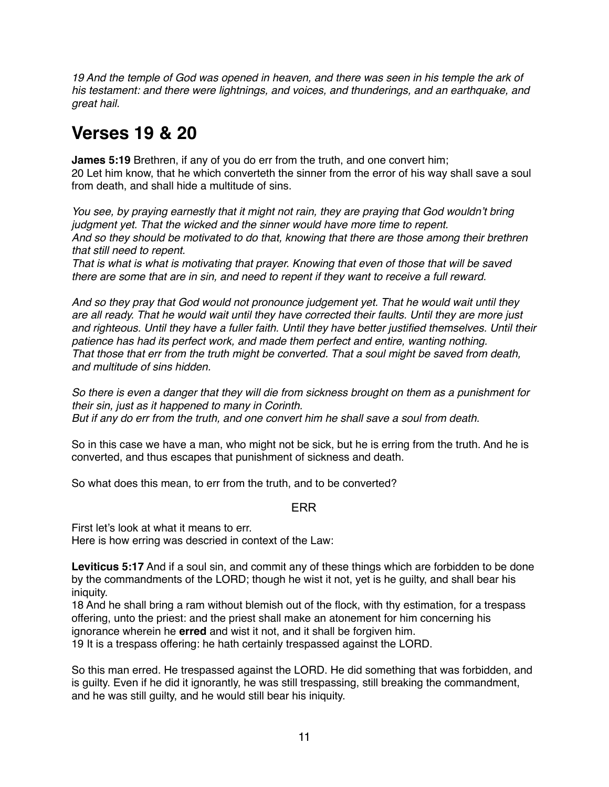19 And the temple of God was opened in heaven, and there was seen in his temple the ark of *his testament: and there were lightnings, and voices, and thunderings, and an earthquake, and great hail.*

## **Verses 19 & 20**

**James 5:19** Brethren, if any of you do err from the truth, and one convert him; 20 Let him know, that he which converteth the sinner from the error of his way shall save a soul from death, and shall hide a multitude of sins.

*You see, by praying earnestly that it might not rain, they are praying that God wouldn't bring judgment yet. That the wicked and the sinner would have more time to repent. And so they should be motivated to do that, knowing that there are those among their brethren that still need to repent.*

*That is what is what is motivating that prayer. Knowing that even of those that will be saved there are some that are in sin, and need to repent if they want to receive a full reward.*

*And so they pray that God would not pronounce judgement yet. That he would wait until they are all ready. That he would wait until they have corrected their faults. Until they are more just and righteous. Until they have a fuller faith. Until they have better justified themselves. Until their patience has had its perfect work, and made them perfect and entire, wanting nothing. That those that err from the truth might be converted. That a soul might be saved from death, and multitude of sins hidden.*

*So there is even a danger that they will die from sickness brought on them as a punishment for their sin, just as it happened to many in Corinth. But if any do err from the truth, and one convert him he shall save a soul from death.*

So in this case we have a man, who might not be sick, but he is erring from the truth. And he is converted, and thus escapes that punishment of sickness and death.

So what does this mean, to err from the truth, and to be converted?

#### ERR

First let's look at what it means to err. Here is how erring was descried in context of the Law:

**Leviticus 5:17** And if a soul sin, and commit any of these things which are forbidden to be done by the commandments of the LORD; though he wist it not, yet is he guilty, and shall bear his iniquity.

18 And he shall bring a ram without blemish out of the flock, with thy estimation, for a trespass offering, unto the priest: and the priest shall make an atonement for him concerning his ignorance wherein he **erred** and wist it not, and it shall be forgiven him.

19 It is a trespass offering: he hath certainly trespassed against the LORD.

So this man erred. He trespassed against the LORD. He did something that was forbidden, and is guilty. Even if he did it ignorantly, he was still trespassing, still breaking the commandment, and he was still guilty, and he would still bear his iniquity.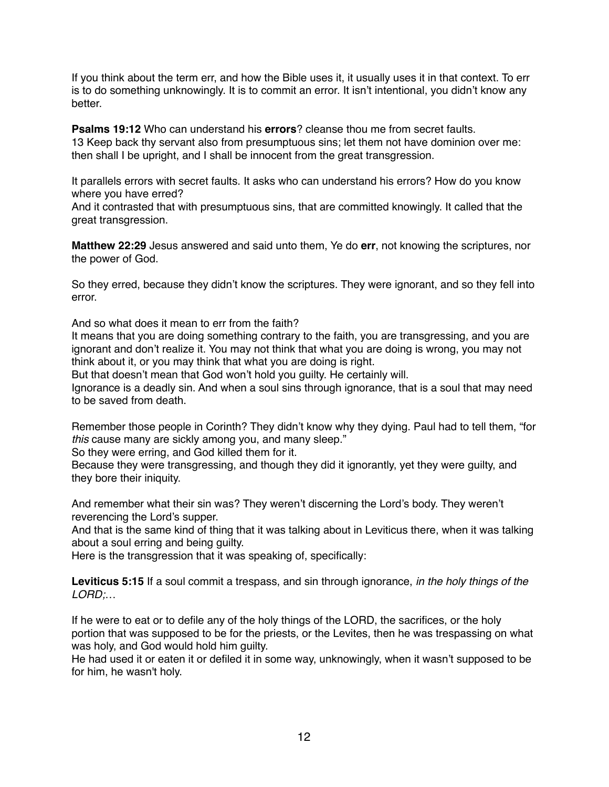If you think about the term err, and how the Bible uses it, it usually uses it in that context. To err is to do something unknowingly. It is to commit an error. It isn't intentional, you didn't know any better.

**Psalms 19:12** Who can understand his **errors**? cleanse thou me from secret faults. 13 Keep back thy servant also from presumptuous sins; let them not have dominion over me: then shall I be upright, and I shall be innocent from the great transgression.

It parallels errors with secret faults. It asks who can understand his errors? How do you know where you have erred?

And it contrasted that with presumptuous sins, that are committed knowingly. It called that the great transgression.

**Matthew 22:29** Jesus answered and said unto them, Ye do **err**, not knowing the scriptures, nor the power of God.

So they erred, because they didn't know the scriptures. They were ignorant, and so they fell into error.

And so what does it mean to err from the faith?

It means that you are doing something contrary to the faith, you are transgressing, and you are ignorant and don't realize it. You may not think that what you are doing is wrong, you may not think about it, or you may think that what you are doing is right.

But that doesn't mean that God won't hold you guilty. He certainly will.

Ignorance is a deadly sin. And when a soul sins through ignorance, that is a soul that may need to be saved from death.

Remember those people in Corinth? They didn't know why they dying. Paul had to tell them, "for *this* cause many are sickly among you, and many sleep."

So they were erring, and God killed them for it.

Because they were transgressing, and though they did it ignorantly, yet they were guilty, and they bore their iniquity.

And remember what their sin was? They weren't discerning the Lord's body. They weren't reverencing the Lord's supper.

And that is the same kind of thing that it was talking about in Leviticus there, when it was talking about a soul erring and being guilty.

Here is the transgression that it was speaking of, specifically:

**Leviticus 5:15** If a soul commit a trespass, and sin through ignorance, *in the holy things of the LORD;*…

If he were to eat or to defile any of the holy things of the LORD, the sacrifices, or the holy portion that was supposed to be for the priests, or the Levites, then he was trespassing on what was holy, and God would hold him guilty.

He had used it or eaten it or defiled it in some way, unknowingly, when it wasn't supposed to be for him, he wasn't holy.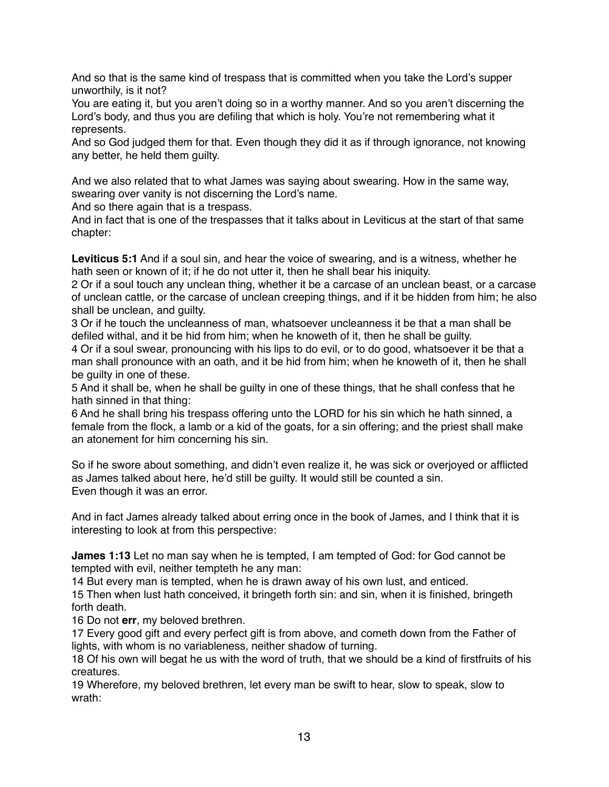And so that is the same kind of trespass that is committed when you take the Lord's supper unworthily, is it not?

You are eating it, but you aren't doing so in a worthy manner. And so you aren't discerning the Lord's body, and thus you are defiling that which is holy. You're not remembering what it represents.

And so God judged them for that. Even though they did it as if through ignorance, not knowing any better, he held them guilty.

And we also related that to what James was saying about swearing. How in the same way, swearing over vanity is not discerning the Lord's name.

And so there again that is a trespass.

And in fact that is one of the trespasses that it talks about in Leviticus at the start of that same chapter:

**Leviticus 5:1** And if a soul sin, and hear the voice of swearing, and is a witness, whether he hath seen or known of it; if he do not utter it, then he shall bear his iniquity.

2 Or if a soul touch any unclean thing, whether it be a carcase of an unclean beast, or a carcase of unclean cattle, or the carcase of unclean creeping things, and if it be hidden from him; he also shall be unclean, and guilty.

3 Or if he touch the uncleanness of man, whatsoever uncleanness it be that a man shall be defiled withal, and it be hid from him; when he knoweth of it, then he shall be guilty.

4 Or if a soul swear, pronouncing with his lips to do evil, or to do good, whatsoever it be that a man shall pronounce with an oath, and it be hid from him; when he knoweth of it, then he shall be guilty in one of these.

5 And it shall be, when he shall be guilty in one of these things, that he shall confess that he hath sinned in that thing:

6 And he shall bring his trespass offering unto the LORD for his sin which he hath sinned, a female from the flock, a lamb or a kid of the goats, for a sin offering; and the priest shall make an atonement for him concerning his sin.

So if he swore about something, and didn't even realize it, he was sick or overjoyed or afflicted as James talked about here, he'd still be guilty. It would still be counted a sin. Even though it was an error.

And in fact James already talked about erring once in the book of James, and I think that it is interesting to look at from this perspective:

**James 1:13** Let no man say when he is tempted, I am tempted of God: for God cannot be tempted with evil, neither tempteth he any man:

14 But every man is tempted, when he is drawn away of his own lust, and enticed.

15 Then when lust hath conceived, it bringeth forth sin: and sin, when it is finished, bringeth forth death.

16 Do not **err**, my beloved brethren.

17 Every good gift and every perfect gift is from above, and cometh down from the Father of lights, with whom is no variableness, neither shadow of turning.

18 Of his own will begat he us with the word of truth, that we should be a kind of firstfruits of his creatures.

19 Wherefore, my beloved brethren, let every man be swift to hear, slow to speak, slow to wrath: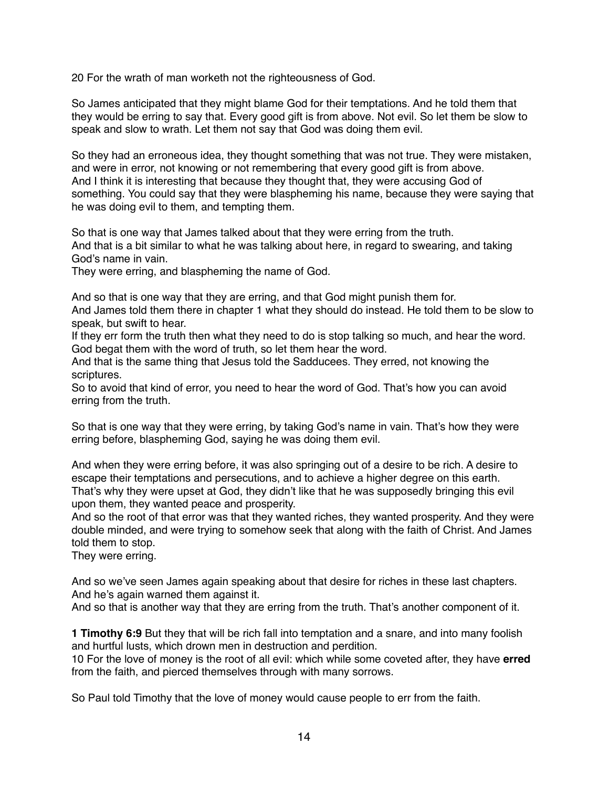20 For the wrath of man worketh not the righteousness of God.

So James anticipated that they might blame God for their temptations. And he told them that they would be erring to say that. Every good gift is from above. Not evil. So let them be slow to speak and slow to wrath. Let them not say that God was doing them evil.

So they had an erroneous idea, they thought something that was not true. They were mistaken, and were in error, not knowing or not remembering that every good gift is from above. And I think it is interesting that because they thought that, they were accusing God of something. You could say that they were blaspheming his name, because they were saying that he was doing evil to them, and tempting them.

So that is one way that James talked about that they were erring from the truth. And that is a bit similar to what he was talking about here, in regard to swearing, and taking God's name in vain.

They were erring, and blaspheming the name of God.

And so that is one way that they are erring, and that God might punish them for.

And James told them there in chapter 1 what they should do instead. He told them to be slow to speak, but swift to hear.

If they err form the truth then what they need to do is stop talking so much, and hear the word. God begat them with the word of truth, so let them hear the word.

And that is the same thing that Jesus told the Sadducees. They erred, not knowing the scriptures.

So to avoid that kind of error, you need to hear the word of God. That's how you can avoid erring from the truth.

So that is one way that they were erring, by taking God's name in vain. That's how they were erring before, blaspheming God, saying he was doing them evil.

And when they were erring before, it was also springing out of a desire to be rich. A desire to escape their temptations and persecutions, and to achieve a higher degree on this earth. That's why they were upset at God, they didn't like that he was supposedly bringing this evil upon them, they wanted peace and prosperity.

And so the root of that error was that they wanted riches, they wanted prosperity. And they were double minded, and were trying to somehow seek that along with the faith of Christ. And James told them to stop.

They were erring.

And so we've seen James again speaking about that desire for riches in these last chapters. And he's again warned them against it.

And so that is another way that they are erring from the truth. That's another component of it.

**1 Timothy 6:9** But they that will be rich fall into temptation and a snare, and into many foolish and hurtful lusts, which drown men in destruction and perdition.

10 For the love of money is the root of all evil: which while some coveted after, they have **erred** from the faith, and pierced themselves through with many sorrows.

So Paul told Timothy that the love of money would cause people to err from the faith.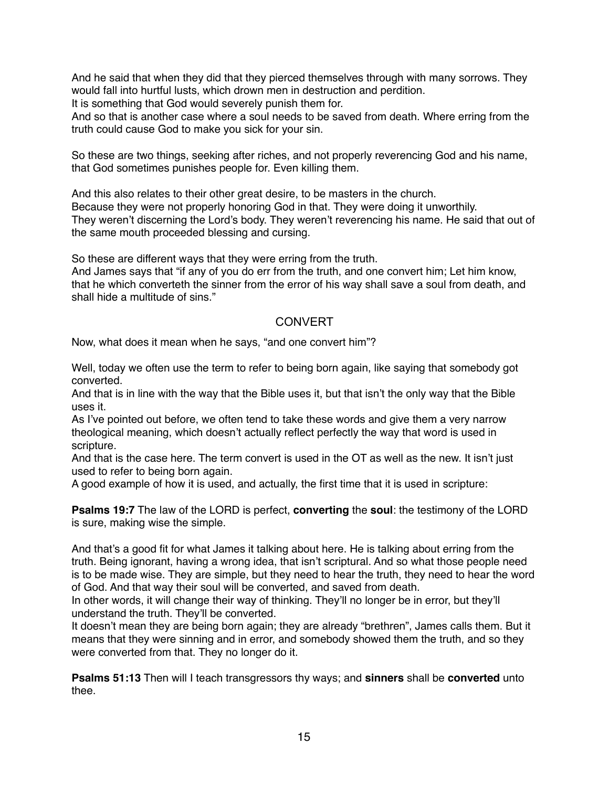And he said that when they did that they pierced themselves through with many sorrows. They would fall into hurtful lusts, which drown men in destruction and perdition.

It is something that God would severely punish them for.

And so that is another case where a soul needs to be saved from death. Where erring from the truth could cause God to make you sick for your sin.

So these are two things, seeking after riches, and not properly reverencing God and his name, that God sometimes punishes people for. Even killing them.

And this also relates to their other great desire, to be masters in the church. Because they were not properly honoring God in that. They were doing it unworthily. They weren't discerning the Lord's body. They weren't reverencing his name. He said that out of the same mouth proceeded blessing and cursing.

So these are different ways that they were erring from the truth.

And James says that "if any of you do err from the truth, and one convert him; Let him know, that he which converteth the sinner from the error of his way shall save a soul from death, and shall hide a multitude of sins."

#### **CONVERT**

Now, what does it mean when he says, "and one convert him"?

Well, today we often use the term to refer to being born again, like saying that somebody got converted.

And that is in line with the way that the Bible uses it, but that isn't the only way that the Bible uses it.

As I've pointed out before, we often tend to take these words and give them a very narrow theological meaning, which doesn't actually reflect perfectly the way that word is used in scripture.

And that is the case here. The term convert is used in the OT as well as the new. It isn't just used to refer to being born again.

A good example of how it is used, and actually, the first time that it is used in scripture:

**Psalms 19:7** The law of the LORD is perfect, **converting** the **soul**: the testimony of the LORD is sure, making wise the simple.

And that's a good fit for what James it talking about here. He is talking about erring from the truth. Being ignorant, having a wrong idea, that isn't scriptural. And so what those people need is to be made wise. They are simple, but they need to hear the truth, they need to hear the word of God. And that way their soul will be converted, and saved from death.

In other words, it will change their way of thinking. They'll no longer be in error, but they'll understand the truth. They'll be converted.

It doesn't mean they are being born again; they are already "brethren", James calls them. But it means that they were sinning and in error, and somebody showed them the truth, and so they were converted from that. They no longer do it.

**Psalms 51:13** Then will I teach transgressors thy ways; and **sinners** shall be **converted** unto thee.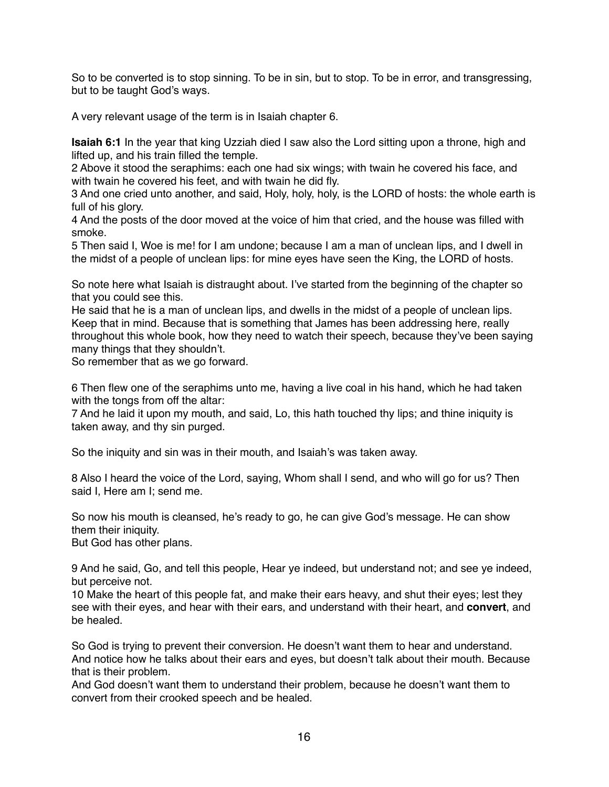So to be converted is to stop sinning. To be in sin, but to stop. To be in error, and transgressing, but to be taught God's ways.

A very relevant usage of the term is in Isaiah chapter 6.

**Isaiah 6:1** In the year that king Uzziah died I saw also the Lord sitting upon a throne, high and lifted up, and his train filled the temple.

2 Above it stood the seraphims: each one had six wings; with twain he covered his face, and with twain he covered his feet, and with twain he did fly.

3 And one cried unto another, and said, Holy, holy, holy, is the LORD of hosts: the whole earth is full of his glory.

4 And the posts of the door moved at the voice of him that cried, and the house was filled with smoke.

5 Then said I, Woe is me! for I am undone; because I am a man of unclean lips, and I dwell in the midst of a people of unclean lips: for mine eyes have seen the King, the LORD of hosts.

So note here what Isaiah is distraught about. I've started from the beginning of the chapter so that you could see this.

He said that he is a man of unclean lips, and dwells in the midst of a people of unclean lips. Keep that in mind. Because that is something that James has been addressing here, really throughout this whole book, how they need to watch their speech, because they've been saying many things that they shouldn't.

So remember that as we go forward.

6 Then flew one of the seraphims unto me, having a live coal in his hand, which he had taken with the tongs from off the altar:

7 And he laid it upon my mouth, and said, Lo, this hath touched thy lips; and thine iniquity is taken away, and thy sin purged.

So the iniquity and sin was in their mouth, and Isaiah's was taken away.

8 Also I heard the voice of the Lord, saying, Whom shall I send, and who will go for us? Then said I, Here am I; send me.

So now his mouth is cleansed, he's ready to go, he can give God's message. He can show them their iniquity.

But God has other plans.

9 And he said, Go, and tell this people, Hear ye indeed, but understand not; and see ye indeed, but perceive not.

10 Make the heart of this people fat, and make their ears heavy, and shut their eyes; lest they see with their eyes, and hear with their ears, and understand with their heart, and **convert**, and be healed.

So God is trying to prevent their conversion. He doesn't want them to hear and understand. And notice how he talks about their ears and eyes, but doesn't talk about their mouth. Because that is their problem.

And God doesn't want them to understand their problem, because he doesn't want them to convert from their crooked speech and be healed.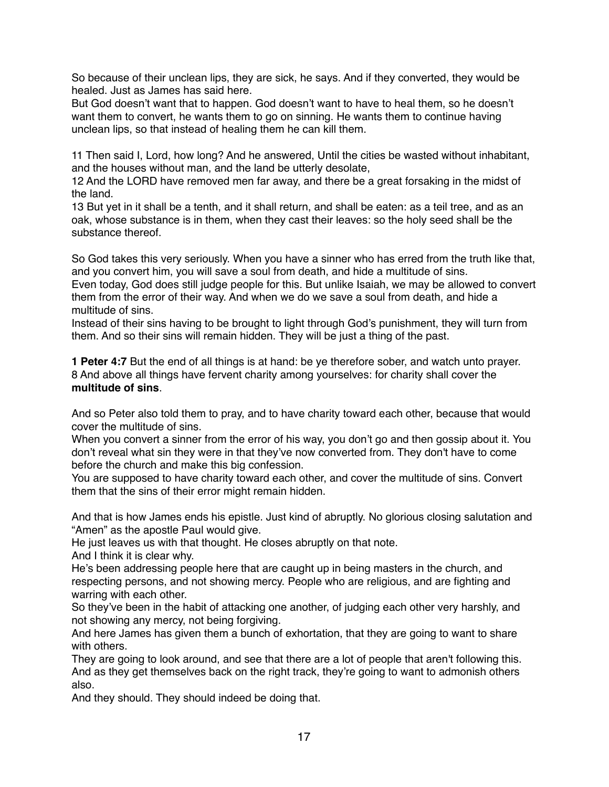So because of their unclean lips, they are sick, he says. And if they converted, they would be healed. Just as James has said here.

But God doesn't want that to happen. God doesn't want to have to heal them, so he doesn't want them to convert, he wants them to go on sinning. He wants them to continue having unclean lips, so that instead of healing them he can kill them.

11 Then said I, Lord, how long? And he answered, Until the cities be wasted without inhabitant, and the houses without man, and the land be utterly desolate,

12 And the LORD have removed men far away, and there be a great forsaking in the midst of the land.

13 But yet in it shall be a tenth, and it shall return, and shall be eaten: as a teil tree, and as an oak, whose substance is in them, when they cast their leaves: so the holy seed shall be the substance thereof.

So God takes this very seriously. When you have a sinner who has erred from the truth like that, and you convert him, you will save a soul from death, and hide a multitude of sins.

Even today, God does still judge people for this. But unlike Isaiah, we may be allowed to convert them from the error of their way. And when we do we save a soul from death, and hide a multitude of sins.

Instead of their sins having to be brought to light through God's punishment, they will turn from them. And so their sins will remain hidden. They will be just a thing of the past.

**1 Peter 4:7** But the end of all things is at hand: be ye therefore sober, and watch unto prayer. 8 And above all things have fervent charity among yourselves: for charity shall cover the **multitude of sins**.

And so Peter also told them to pray, and to have charity toward each other, because that would cover the multitude of sins.

When you convert a sinner from the error of his way, you don't go and then gossip about it. You don't reveal what sin they were in that they've now converted from. They don't have to come before the church and make this big confession.

You are supposed to have charity toward each other, and cover the multitude of sins. Convert them that the sins of their error might remain hidden.

And that is how James ends his epistle. Just kind of abruptly. No glorious closing salutation and "Amen" as the apostle Paul would give.

He just leaves us with that thought. He closes abruptly on that note.

And I think it is clear why.

He's been addressing people here that are caught up in being masters in the church, and respecting persons, and not showing mercy. People who are religious, and are fighting and warring with each other.

So they've been in the habit of attacking one another, of judging each other very harshly, and not showing any mercy, not being forgiving.

And here James has given them a bunch of exhortation, that they are going to want to share with others.

They are going to look around, and see that there are a lot of people that aren't following this. And as they get themselves back on the right track, they're going to want to admonish others also.

And they should. They should indeed be doing that.